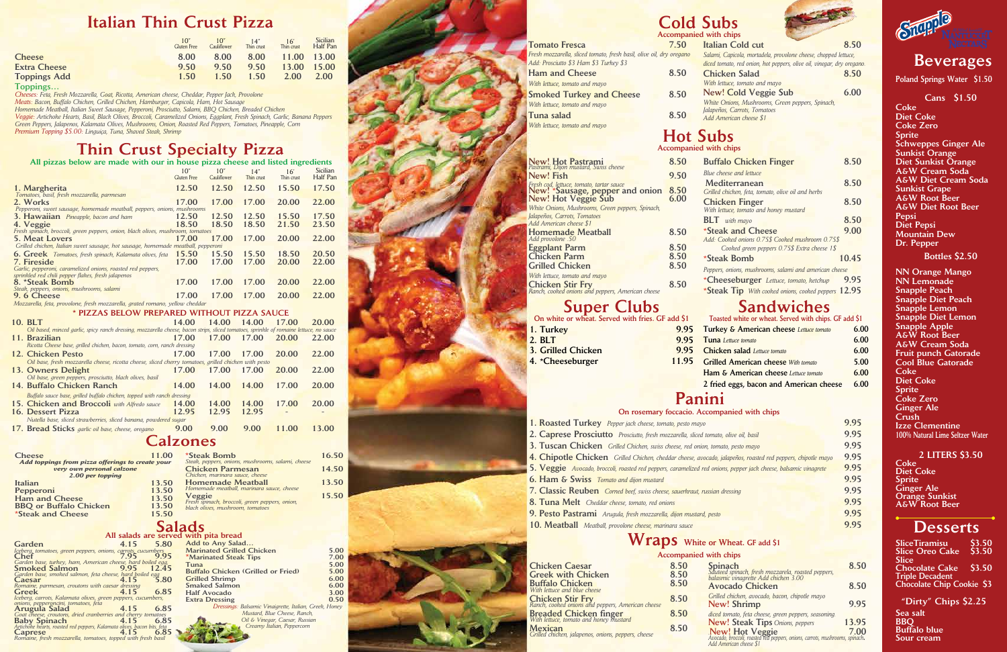## Italian Thin Crust Pizza

## Thin Crust Specialty Pizza

### All pizzas below are made with our in house pizza cheese and listed ingredients

Toppings… *Cheeses: Feta, Fresh Mozzarella, Goat, Ricotta, American cheese, Cheddar, Pepper Jack, Provolone*

*Meats: Bacon, Buffalo Chicken, Grilled Chicken, Hamburger, Capicola, Ham, Hot Sausage*

*Homemade Meatball, Italian Sweet Sausage, Pepperoni, Prosciutto, Salami, BBQ Chicken, Breaded Chicken*

|                     | $10^{\circ}$<br>Gluten Free | 10"<br>Cauliflower | 14''<br>Thin crust | Thin crust | Sicilian<br>Half Pan |
|---------------------|-----------------------------|--------------------|--------------------|------------|----------------------|
| <b>Cheese</b>       | 8.00                        | 8.00               | 8.00               | 11.00      | 13.00                |
| <b>Extra Cheese</b> | 9.50                        | 9.50               | 9.50               | 13.00      | 15.00                |
| <b>Toppings Add</b> | 1.50                        | 1.50               | 1.50               | 2.00       | 2.00                 |
| Toppinson           |                             |                    |                    |            |                      |

*Veggie: Artichoke Hearts, Basil, Black Olives, Broccoli, Caramelized Onions, Eggplant, Fresh Spinach, Garlic, Banana Peppers Green Peppers, Jalapenos, Kalamata Olives, Mushrooms, Onion, Roasted Red Peppers, Tomatoes, Pineapple, Corn Premium Topping \$5.00: Linguiça, Tuna, Shaved Steak, Shrimp*

| THE PIERRY NOID'N WED HIMMO WILLE OWE HE HOWSO PIERR CHOOSO                                                                             | 10"<br><b>Gluten Free</b> | 10"<br>Cauliflower | 14"<br>Thin crust | 16'<br>Thin crust | Sicilian<br>Half Pan |  |  |
|-----------------------------------------------------------------------------------------------------------------------------------------|---------------------------|--------------------|-------------------|-------------------|----------------------|--|--|
| 1. Margherita                                                                                                                           | 12.50                     | 12.50              | 12.50             | 15.50             | 17.50                |  |  |
| Tomatoes, basil, fresh mozzarella, parmesan                                                                                             |                           |                    |                   |                   |                      |  |  |
| 2. Works                                                                                                                                | 17.00                     | 17.00              | 17.00             | 20.00             | 22.00                |  |  |
| Pepperoni, sweet sausage, homemade meatball, peppers, onions, mushrooms                                                                 |                           |                    |                   |                   |                      |  |  |
| 3. Hawaiian Pineapple, bacon and ham                                                                                                    | 12.50                     | 12.50              | 12.50             | 15.50             | 17.50                |  |  |
| 4. Veggie<br>Fresh spinach, broccoli, green peppers, onion, black olives, mushroom, tomatoes                                            | 18.50                     | 18.50              | 18.50             | 21.50             | 23.50                |  |  |
| 5. Meat Lovers                                                                                                                          | 17.00                     | 17.00              | 17.00             | 20.00             | 22.00                |  |  |
| Grilled chicken, Italian sweet sausage, hot sausage, homemade meatball, pepperoni                                                       |                           |                    |                   |                   |                      |  |  |
| <b>6. Greek</b> Tomatoes, fresh spinach, Kalamata olives, feta                                                                          | 15.50                     | 15.50              | 15.50             | 18.50             | 20.50                |  |  |
| 7. Fireside                                                                                                                             | 17.00                     | 17.00              | 17.00             | 20.00             | 22.00                |  |  |
| Garlic, pepperoni, caramelized onions, roasted red peppers,                                                                             |                           |                    |                   |                   |                      |  |  |
| sprinkled red chili pepper flakes, fresh jalapenos<br>8. *Steak Bomb                                                                    | 17.00                     | 17.00              | 17.00             | 20.00             | 22.00                |  |  |
| Steak, peppers, onions, mushrooms, salami                                                                                               |                           |                    |                   |                   |                      |  |  |
| 9.6 Cheese                                                                                                                              | 17.00                     | 17.00              | 17.00             | 20.00             | 22.00                |  |  |
| Mozzarella, feta, provolone, fresh mozzarella, grated romano, yellow cheddar                                                            |                           |                    |                   |                   |                      |  |  |
| * PIZZAS BELOW PREPARED WITHOUT PIZZA SAUCE                                                                                             |                           |                    |                   |                   |                      |  |  |
| 10. BLT                                                                                                                                 | 14.00                     | 14.00              | 14.00             | 17.00             | 20.00                |  |  |
| Oil based, minced garlic, spicy ranch dressing, mozzarella cheese, bacon strips, sliced tomatoes, sprinkle of romaine lettuce, no sauce |                           |                    |                   |                   |                      |  |  |
| 11. Brazilian                                                                                                                           | 17.00                     | 17.00              | 17.00             | 20.00             | 22.00                |  |  |
| Ricotta Cheese base, grilled chicken, bacon, tomato, corn, ranch dressing                                                               |                           |                    |                   |                   |                      |  |  |
| 12. Chicken Pesto                                                                                                                       | 17.00                     | 17.00              | 17.00             | 20.00             | 22.00                |  |  |
| Oil base, fresh mozzarella cheese, ricotta cheese, sliced cherry tomatoes, grilled chicken with pesto                                   |                           |                    |                   |                   |                      |  |  |
| 13. Owners Delight                                                                                                                      | 17.00                     | 17.00              | 17.00             | 20.00             | 22.00                |  |  |
| Oil base, green peppers, prosciutto, black olives, basil                                                                                |                           |                    |                   |                   |                      |  |  |
| 14. Buffalo Chicken Ranch                                                                                                               | 14.00                     | 14.00              | 14.00             | 17.00             | 20.00                |  |  |
| Buffalo sauce base, grilled buffalo chicken, topped with ranch dressing                                                                 |                           |                    |                   |                   |                      |  |  |
| 15. Chicken and Broccoli with Alfredo sauce                                                                                             | 14.00                     | 14.00              | 14.00             | 17.00             | 20.00                |  |  |
| 16. Dessert Pizza                                                                                                                       | 12.95                     | 12.95              | 12.95             |                   |                      |  |  |
| Nutella base, sliced strawberries, sliced banana, powdered sugar                                                                        |                           |                    |                   |                   |                      |  |  |
| 17. Bread Sticks garlic oil base, cheese, oregano                                                                                       | 9.00                      | 9.00               | 9.00              | 11.00             | 13.00                |  |  |
| <b>Calzones</b>                                                                                                                         |                           |                    |                   |                   |                      |  |  |

### All salads are served with pita bread<br>4.15 5.80 Add to Any Salad Garden 4.15 5.80<br>*Iceberg, tomatoes, green peppers, onions, carrots, cucumbers*<br>Chef 9.95 *Garden base, turkey, ham, American cheese, hard boiled egg,* Smoked Salmon 9.95 12.45 *Garden base, smoked salmon, feta cheese, hard boiled egg*  Caesar 4.15 5.80 Romaine, parmesan, croutons with caesar dressing<br>**Greek 1.15 6.85** *Iceberg, carrots, Kalamata olives, green peppers, cucumbers, onions, pepperoncini, tomatoes, feta*  Arugula Salad 4.15 6.85<br> *Goat cheese, croutons, dried cranberries and cherry tomatoes*<br> **Baby Spinach 4.15 6.85** *Artichoke hearts, roasted red peppers, Kalamata olives, bacon bits, feta* Caprese 4.15 6.85 Add to Any Salad… Marinated Grilled Chicken 5.00<br>
\*Marinated Steak Tips 7.00<br>
Tuna 5.00 Tuna 5.00 Buffalo Chicken (Grilled or Fried) 5.00 Grilled Shrimp 6.00<br>
Smaked Salmon 6.00 Smaked Salmon 6.00<br>
Half Avocado 6.00<br>
3.00 Half Avocado 3.00<br>Extra Dressing 3.00 0.50 **Extra Dressing** *Dressings: Balsamic Vinaigrette, Italian, Greek, Honey Mustard, Blue Cheese, Ranch, Oil & Vinegar, Caesar, Russian Creamy Italian, Peppercorn*

### Accompanied with chips Wraps White or Wheat. GF add \$1

### Salads

*Romaine, fresh mozzarella, tomatoes, topped with fresh basil*

**Coke** Diet Coke Coke Zero Sprite Schweppes Ginger Ale Sunkist Orange Diet Sunkist Orange A&W Cream Soda A&W Diet Cream Soda Sunkist Grape A&W Root Beer A&W Diet Root Beer Pepsi Diet Pepsi Mountain Dew Dr. Pepper

**Coke** Diet Coke Sprite Ginger Ale Orange Sunkist A&W Root Beer

### **Desserts**

| <b>Cheese</b>         |                                                                                                   | 11.00          | *Steak Bomb<br>Steak, peppers, onions, mushrooms, salami, cheese      | 16.50 |
|-----------------------|---------------------------------------------------------------------------------------------------|----------------|-----------------------------------------------------------------------|-------|
|                       | Add toppings from pizza offerings to create your<br>very own personal calzone<br>2.00 per topping |                | <b>Chicken Parmesan</b><br>Chicken, marinara sauce, cheese            | 14.50 |
| Italian<br>Pepperoni  |                                                                                                   | 13.50<br>13.50 | <b>Homemade Meatball</b><br>Homemade meatball, marinara sauce, cheese | 13.50 |
| <b>Ham and Cheese</b> |                                                                                                   | 13.50          | Veggie<br>Fresh spinach, broccoli, green peppers, onion,              | 15.50 |
| *Steak and Cheese     | <b>BBO</b> or Buffalo Chicken                                                                     | 13.50<br>15.50 | black olives, mushroom, tomatoes                                      |       |

| Italian Thin Crust Pizza                                                                                                                                                                     |                 |                    |                                                            |                                                                                    |                                                   |                      | <b>Cold Subs</b>                                                                                                                                                                                   |       |
|----------------------------------------------------------------------------------------------------------------------------------------------------------------------------------------------|-----------------|--------------------|------------------------------------------------------------|------------------------------------------------------------------------------------|---------------------------------------------------|----------------------|----------------------------------------------------------------------------------------------------------------------------------------------------------------------------------------------------|-------|
|                                                                                                                                                                                              |                 |                    |                                                            |                                                                                    | 16'                                               | Sicilian             | Accompanied with chips                                                                                                                                                                             |       |
|                                                                                                                                                                                              |                 | <b>Gluten Free</b> | Cauliflower                                                | $14''$<br>Thin crust                                                               | Thin crust                                        | Half Pan             | <b>Italian Cold cut</b><br><b>Tomato Fresca</b><br>7.50<br>Fresh mozzarella, sliced tomato, fresh basil, olive oil, dry oregano<br>Salami, Capicola, mortadela, provolone cheese, chopped lettuce, | 8.50  |
|                                                                                                                                                                                              |                 | 8.00               | 8.00                                                       | 8.00                                                                               | 11.00                                             | 13.00                | Add: Prosciutto \$3 Ham \$3 Turkey \$3<br>diced tomato, red onion, hot peppers, olive oil, vinegar, dry oregano.                                                                                   |       |
|                                                                                                                                                                                              |                 | 9.50               | 9.50                                                       | 9.50                                                                               | 13.00                                             | 15.00                | <b>Ham and Cheese</b><br>8.50<br><b>Chicken Salad</b>                                                                                                                                              | 8.50  |
|                                                                                                                                                                                              |                 | 1.50               | 1.50                                                       | 1.50                                                                               | 2.00                                              | 2.00                 | With lettuce, tomato and mayo<br>With lettuce, tomato and mayo                                                                                                                                     |       |
| lozzarella, Goat, Ricotta, American cheese, Cheddar, Pepper Jack, Provolone                                                                                                                  |                 |                    |                                                            |                                                                                    |                                                   |                      | <b>New! Cold Veggie Sub</b><br>8.50<br><b>Smoked Turkey and Cheese</b>                                                                                                                             | 6.00  |
| Chicken, Grilled Chicken, Hamburger, Capicola, Ham, Hot Sausage                                                                                                                              |                 |                    |                                                            |                                                                                    |                                                   |                      | White Onions, Mushrooms, Green peppers, Spinach,<br>With lettuce, tomato and mayo                                                                                                                  |       |
| talian Sweet Sausage, Pepperoni, Prosciutto, Salami, BBQ Chicken, Breaded Chicken<br>rts, Basil, Black Olives, Broccoli, Caramelized Onions, Eggplant, Fresh Spinach, Garlic, Banana Peppers |                 |                    |                                                            |                                                                                    |                                                   |                      | Jalapeños, Carrots, Tomatoes<br>8.50<br>Tuna salad<br>Add American cheese \$1                                                                                                                      |       |
| os, Kalamata Olives, Mushrooms, Onion, Roasted Red Peppers, Tomatoes, Pineapple, Corn                                                                                                        |                 |                    |                                                            |                                                                                    |                                                   |                      | With lettuce, tomato and mayo                                                                                                                                                                      |       |
| 00: Linguiça, Tuna, Shaved Steak, Shrimp                                                                                                                                                     |                 |                    |                                                            |                                                                                    |                                                   |                      | <b>Hot Subs</b>                                                                                                                                                                                    |       |
| <b>Thin Crust Specialty Pizza</b>                                                                                                                                                            |                 |                    |                                                            |                                                                                    |                                                   |                      | <b>Accompanied with chips</b>                                                                                                                                                                      |       |
| elow are made with our in house pizza cheese and listed ingredients                                                                                                                          |                 |                    |                                                            |                                                                                    |                                                   |                      | 8.50<br><b>Buffalo Chicken Finger</b><br>New! Hot Pastrami<br>Pastrami, Dijon mustard, Swiss cheese                                                                                                | 8.50  |
|                                                                                                                                                                                              |                 | <b>Gluten Free</b> | Cauliflower                                                | Thin crust                                                                         | 16'<br>Thin crust                                 | Sicilian<br>Half Pan | Blue cheese and lettuce<br>9.50<br><b>New!</b> Fish                                                                                                                                                |       |
|                                                                                                                                                                                              |                 | 12.50              | 12.50                                                      | 12.50                                                                              | 15.50                                             | 17.50                | Mediterranean<br>Fresh cod, lettuce, tomato, tartar sauce<br>New! *Sausage, pepper and onion 8.50                                                                                                  | 8.50  |
| nozzarella, parmesan                                                                                                                                                                         |                 |                    |                                                            |                                                                                    |                                                   |                      | Grilled chicken, feta, tomato, olive oil and herbs<br>6.00<br><b>New! Hot Veggie Sub</b>                                                                                                           |       |
| ge, homemade meatball, peppers, onions, mushrooms                                                                                                                                            |                 | 17.00              | 17.00                                                      | 17.00                                                                              | 20.00                                             | 22.00                | <b>Chicken Finger</b><br>White Onions, Mushrooms, Green peppers, Spinach,<br>With lettuce, tomato and honey mustard                                                                                | 8.50  |
| reapple, bacon and ham                                                                                                                                                                       |                 | 12.50              | 12.50                                                      | 12.50                                                                              | 15.50                                             | 17.50                | Ialapeños, Carrots, Tomatoes<br><b>BLT</b> with mayo                                                                                                                                               | 8.50  |
| green peppers, onion, black olives, mushroom, tomatoes                                                                                                                                       |                 | 18.50              | 18.50                                                      | 18.50                                                                              | 21.50                                             | 23.50                | Add American cheese \$1<br>*Steak and Cheese<br>8.50<br><b>Homemade Meatball</b>                                                                                                                   | 9.00  |
|                                                                                                                                                                                              |                 | 17.00              | 17.00                                                      | 17.00                                                                              | 20.00                                             | 22.00                | Add provolone .50<br>Add: Cooked onions 0.75\$ Cooked mushroom 0.75\$                                                                                                                              |       |
| sweet sausage, hot sausage, homemade meatball, pepperoni<br>es, fresh spinach, Kalamata olives, feta $15.50$                                                                                 |                 |                    | 15.50 15.50                                                |                                                                                    | 18.50                                             | 20.50                | 8.50<br><b>Eggplant Parm</b><br>Cooked green peppers 0.75\$ Extra cheese 1\$                                                                                                                       |       |
|                                                                                                                                                                                              |                 | 17.00              | 17.00                                                      | 17.00                                                                              | 20.00                                             | 22.00                | 8.50<br><b>Chicken Parm</b><br>*Steak Bomb<br>8.50<br><b>Grilled Chicken</b>                                                                                                                       | 10.45 |
| nelized onions, roasted red peppers,<br>r flakes, fresh jalapenos                                                                                                                            |                 |                    |                                                            |                                                                                    |                                                   |                      | Peppers, onions, mushrooms, salami and american cheese<br>With lettuce, tomato and mayo                                                                                                            |       |
|                                                                                                                                                                                              |                 | 17.00              | 17.00                                                      | 17.00                                                                              | 20.00                                             | 22.00                | *Cheeseburger Lettuce, tomato, ketchup<br>8.50<br><b>Chicken Stir Fry</b>                                                                                                                          | 9.95  |
| nushrooms, salami                                                                                                                                                                            |                 | 17.00              | 17.00                                                      | 17.00                                                                              | 20.00                                             | 22.00                | *Steak Tip With cooked onions, cooked peppers 12.95<br>Ranch, cooked onions and peppers, American cheese                                                                                           |       |
| <mark>one, fresh mozzarella, grated romano</mark> , yellow cheddar                                                                                                                           |                 |                    |                                                            |                                                                                    |                                                   |                      | <b>Super Clubs</b><br>On white or wheat. Served with fries. GF add \$1<br><b>Sandwiches</b>                                                                                                        |       |
| * PIZZAS BELOW PREPARED WITHOUT PIZZA SAUCE                                                                                                                                                  |                 | 14.00              | 14.00 14.00                                                |                                                                                    | 17.00                                             | 20.00                | Toasted white or wheat. Served with chips. GF add \$1                                                                                                                                              |       |
| tarlic, spicy ranch dressing, mozzarella cheese, bacon strips, sliced tomatoes, sprinkle of romaine lettuce, no sauce                                                                        |                 |                    |                                                            |                                                                                    |                                                   |                      | Turkey & American cheese Lettuce tomato<br>1. Turkey<br>9.95                                                                                                                                       | 6.00  |
|                                                                                                                                                                                              | 17.00           |                    | 17.00 17.00                                                |                                                                                    | 20.00                                             | 22.00                | 2. BLT<br>9.95<br>Tuna Lettuce tomato                                                                                                                                                              | 6.00  |
| grilled chicken, bacon, tomato, corn, ranch dressing<br>sto                                                                                                                                  | 17.00           |                    | 17.00                                                      | 17.00                                                                              | 20.00                                             | 22.00                | 3. Grilled Chicken<br>9.95<br><b>Chicken salad</b> Lettuce tomato                                                                                                                                  | 6.00  |
| zzarella cheese, ricotta cheese, sliced cherry tomatoes, grilled chicken with pesto                                                                                                          |                 |                    |                                                            |                                                                                    |                                                   |                      | 4. *Cheeseburger<br>11.95<br><b>Grilled American cheese With tomato</b>                                                                                                                            | 5.00  |
| light<br>ppers, prosciutto, black olives, basil                                                                                                                                              | 17.00           |                    | 17.00 17.00                                                |                                                                                    | 20.00                                             | 22.00                | Ham & American cheese Lettuce tomato                                                                                                                                                               | 6.00  |
| cken Ranch                                                                                                                                                                                   | 14.00           |                    | 14.00                                                      | 14.00                                                                              | 17.00                                             | 20.00                | 2 fried eggs, bacon and American cheese 6.00                                                                                                                                                       |       |
| grilled buffalo chicken, topped with ranch dressing                                                                                                                                          |                 |                    |                                                            |                                                                                    |                                                   |                      | Panini                                                                                                                                                                                             |       |
| <b>d Broccoli</b> with Alfredo sauce                                                                                                                                                         | 14.00           |                    | 14.00                                                      | 14.00                                                                              | 17.00                                             | 20.00                |                                                                                                                                                                                                    |       |
| I strawberries, sliced banana, powdered sugar                                                                                                                                                | 12.95           |                    | 12.95                                                      | 12.95                                                                              |                                                   |                      | On rosemary foccacio. Accompanied with chips                                                                                                                                                       |       |
| <i>s</i> garlic oil base, cheese, oregano                                                                                                                                                    | 9.00            |                    | 9.00                                                       | 9.00                                                                               | 11.00                                             | 13.00                | 1. Roasted Turkey Pepper jack cheese, tomato, pesto mayo                                                                                                                                           | 9.95  |
|                                                                                                                                                                                              | <b>Calzones</b> |                    |                                                            |                                                                                    |                                                   |                      | 2. Caprese Prosciutto Prosciutto, fresh mozzarella, sliced tomato, olive oil, basil                                                                                                                | 9.95  |
|                                                                                                                                                                                              |                 |                    |                                                            |                                                                                    |                                                   |                      | 3. Tuscan Chicken Grilled Chicken, swiss cheese, red onion, tomato, pesto mayo                                                                                                                     | 9.95  |
| m pizza offerings to create your                                                                                                                                                             | 11.00           |                    | *Steak Bomb                                                |                                                                                    | Steak, peppers, onions, mushrooms, salami, cheese | 16.50                | 4. Chipotle Chicken Grilled Chicken, cheddar cheese, avocado, jalapeños, roasted red peppers, chipotle mayo                                                                                        | 9.95  |
| wn personal calzone<br>.00 per topping                                                                                                                                                       |                 |                    | <b>Chicken Parmesan</b><br>Chicken, marinara sauce, cheese |                                                                                    |                                                   | 14.50                | 5. Veggie Avocado, broccoli, roasted red peppers, caramelized red onions, pepper jack cheese, balsamic vinagrete                                                                                   | 9.95  |
|                                                                                                                                                                                              | 13.50           |                    | <b>Homemade Meatball</b>                                   |                                                                                    |                                                   | 13.50                | 6. Ham & Swiss Tomato and dijon mustard                                                                                                                                                            | 9.95  |
|                                                                                                                                                                                              | 13.50<br>13.50  | Veggie             |                                                            | Homemade meatball, marinara sauce, cheese                                          |                                                   | 15.50                | 7. Classic Reuben Corned beef, swiss cheese, sauerkraut, russian dressing                                                                                                                          | 9.95  |
| ese<br>Chicken                                                                                                                                                                               | 13.50           |                    |                                                            | Fresh spinach, broccoli, green peppers, onion,<br>black olives, mushroom, tomatoes |                                                   |                      | 8. Tuna Melt Cheddar cheese, tomato, red onions                                                                                                                                                    | 9.95  |
| eese                                                                                                                                                                                         | 15.50           |                    |                                                            |                                                                                    |                                                   |                      | 9. Pesto Pastrami Arugula, fresh mozzarella, dijon mustard, pesto                                                                                                                                  | 9.95  |
|                                                                                                                                                                                              | <b>Salads</b>   |                    |                                                            |                                                                                    |                                                   |                      | 10. Meatball Meatball, provolone cheese, marinara sauce                                                                                                                                            | 9.95  |
|                                                                                                                                                                                              |                 |                    |                                                            |                                                                                    |                                                   |                      |                                                                                                                                                                                                    |       |

|                                                                         |      | <i>Recompaniea</i> with empo-                                                                           |       |
|-------------------------------------------------------------------------|------|---------------------------------------------------------------------------------------------------------|-------|
| <b>Chicken Caesar</b>                                                   | 8.50 | Spinach                                                                                                 | 8.50  |
| <b>Greek with Chicken</b>                                               | 8.50 | Sauteed spinach, fresh mozzarela, roasted peppers,<br>balasmic vinagrette Add chicken 3.00              |       |
| <b>Buffalo Chicken</b><br>With lettuce and blue cheese                  | 8.50 | <b>Avocado Chicken</b>                                                                                  | 8.50  |
| Chicken Stir Fry<br>Ranch, cooked onions and peppers, American cheese   | 8.50 | Grilled chicken, avocado, bacon, chipotle mayo<br><b>New! Shrimp</b>                                    | 9.95  |
| <b>Breaded Chicken finger</b><br>With lettuce, tomato and honey mustard | 8.50 | diced tomato, feta cheese, green peppers, seasoning.                                                    |       |
|                                                                         |      | <b>New! Steak Tips Onions, peppers</b>                                                                  | 13.95 |
| Mexican<br>Grilled chicken, jalapenos, onions, peppers, cheese          | 8.50 | New! Hot Veggie                                                                                         | 7.00  |
|                                                                         |      | Avocado, broccoli, roasted red peppers, onions, carrots, mushrooms, spinach.<br>Add American cheese \$1 |       |



Cans \$1.50

### Bottles \$2.50

### 2 LITERS \$3.50

## Beverages

"Dirty" Chips \$2.25

Poland Springs Water \$1.50

NN Orange Mango NN Lemonade Snapple Peach Snapple Diet Peach Snapple Lemon Snapple Diet Lemon Snapple Apple A&W Root Beer A&W Cream Soda Fruit punch Gatorade Cool Blue Gatorade **Coke** Diet Coke Sprite Coke Zero Ginger Ale Crush Izze Clementine 100% Natural Lime Seltzer Water

| <b>SliceTiramisu</b>      | \$3.50 |
|---------------------------|--------|
| <b>Slice Oreo Cake</b>    | \$3.50 |
| Slice                     |        |
| <b>Chocolate Cake</b>     | \$3.50 |
| <b>Triple Decadent</b>    |        |
| Chocolate Chip Cookie \$3 |        |
|                           |        |

Sea salt BBQ Buffalo blue Sour cream